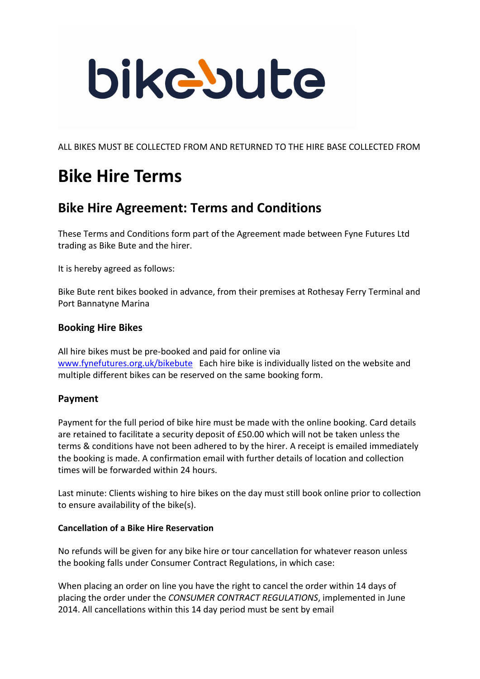# bikebute

ALL BIKES MUST BE COLLECTED FROM AND RETURNED TO THE HIRE BASE COLLECTED FROM

## **Bike Hire Terms**

### **Bike Hire Agreement: Terms and Conditions**

These Terms and Conditions form part of the Agreement made between Fyne Futures Ltd trading as Bike Bute and the hirer.

It is hereby agreed as follows:

Bike Bute rent bikes booked in advance, from their premises at Rothesay Ferry Terminal and Port Bannatyne Marina

#### **Booking Hire Bikes**

All hire bikes must be pre-booked and paid for online via www.fynefutures.org.uk/bikebute Each hire bike is individually listed on the website and multiple different bikes can be reserved on the same booking form.

#### **Payment**

Payment for the full period of bike hire must be made with the online booking. Card details are retained to facilitate a security deposit of £50.00 which will not be taken unless the terms & conditions have not been adhered to by the hirer. A receipt is emailed immediately the booking is made. A confirmation email with further details of location and collection times will be forwarded within 24 hours.

Last minute: Clients wishing to hire bikes on the day must still book online prior to collection to ensure availability of the bike(s).

#### **Cancellation of a Bike Hire Reservation**

No refunds will be given for any bike hire or tour cancellation for whatever reason unless the booking falls under Consumer Contract Regulations, in which case:

When placing an order on line you have the right to cancel the order within 14 days of placing the order under the *CONSUMER CONTRACT REGULATIONS*, implemented in June 2014. All cancellations within this 14 day period must be sent by email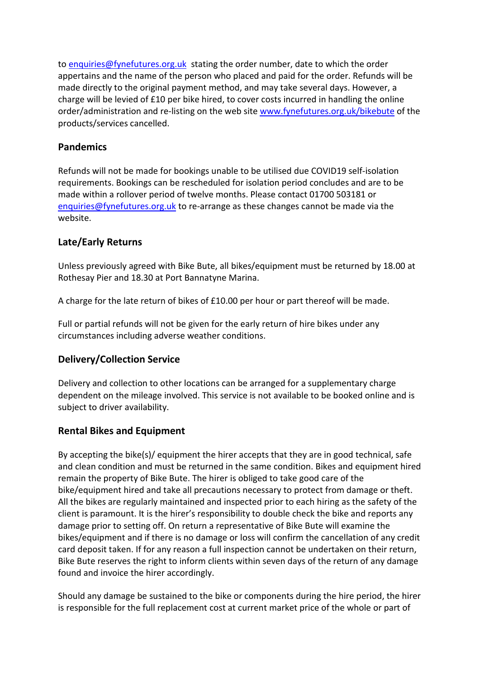to enquiries@fynefutures.org.uk stating the order number, date to which the order appertains and the name of the person who placed and paid for the order. Refunds will be made directly to the original payment method, and may take several days. However, a charge will be levied of £10 per bike hired, to cover costs incurred in handling the online order/administration and re-listing on the web site www.fynefutures.org.uk/bikebute of the products/services cancelled.

#### **Pandemics**

Refunds will not be made for bookings unable to be utilised due COVID19 self-isolation requirements. Bookings can be rescheduled for isolation period concludes and are to be made within a rollover period of twelve months. Please contact 01700 503181 or enquiries@fynefutures.org.uk to re-arrange as these changes cannot be made via the website.

#### **Late/Early Returns**

Unless previously agreed with Bike Bute, all bikes/equipment must be returned by 18.00 at Rothesay Pier and 18.30 at Port Bannatyne Marina.

A charge for the late return of bikes of £10.00 per hour or part thereof will be made.

Full or partial refunds will not be given for the early return of hire bikes under any circumstances including adverse weather conditions.

#### **Delivery/Collection Service**

Delivery and collection to other locations can be arranged for a supplementary charge dependent on the mileage involved. This service is not available to be booked online and is subject to driver availability.

#### **Rental Bikes and Equipment**

By accepting the bike(s)/ equipment the hirer accepts that they are in good technical, safe and clean condition and must be returned in the same condition. Bikes and equipment hired remain the property of Bike Bute. The hirer is obliged to take good care of the bike/equipment hired and take all precautions necessary to protect from damage or theft. All the bikes are regularly maintained and inspected prior to each hiring as the safety of the client is paramount. It is the hirer's responsibility to double check the bike and reports any damage prior to setting off. On return a representative of Bike Bute will examine the bikes/equipment and if there is no damage or loss will confirm the cancellation of any credit card deposit taken. If for any reason a full inspection cannot be undertaken on their return, Bike Bute reserves the right to inform clients within seven days of the return of any damage found and invoice the hirer accordingly.

Should any damage be sustained to the bike or components during the hire period, the hirer is responsible for the full replacement cost at current market price of the whole or part of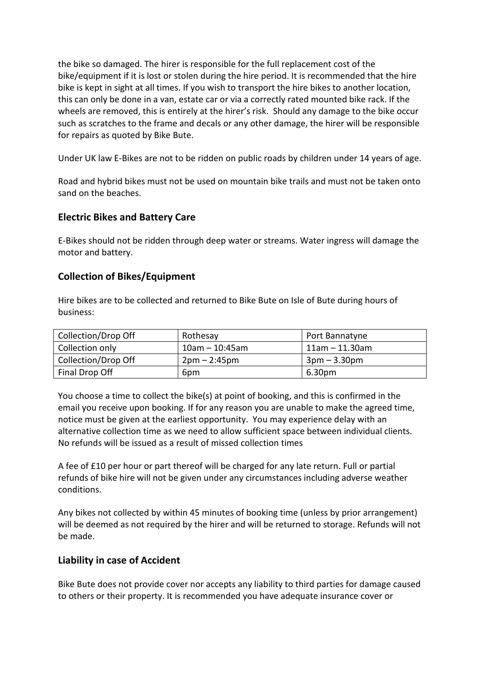the bike so damaged. The hirer is responsible for the full replacement cost of the bike/equipment if it is lost or stolen during the hire period. It is recommended that the hire bike is kept in sight at all times. If you wish to transport the hire bikes to another location, this can only be done in a van, estate car or via a correctly rated mounted bike rack. If the wheels are removed, this is entirely at the hirer's risk. Should any damage to the bike occur such as scratches to the frame and decals or any other damage, the hirer will be responsible for repairs as quoted by Bike Bute.

Under UK law E-Bikes are not to be ridden on public roads by children under 14 years of age.

Road and hybrid bikes must not be used on mountain bike trails and must not be taken onto sand on the beaches.

#### **Electric Bikes and Battery Care**

E-Bikes should not be ridden through deep water or streams. Water ingress will damage the motor and battery.

#### **Collection of Bikes/Equipment**

Hire bikes are to be collected and returned to Bike Bute on Isle of Bute during hours of business:

| Collection/Drop Off | Rothesay          | Port Bannatyne       |
|---------------------|-------------------|----------------------|
| Collection only     | $10$ am - 10:45am | $11$ am - $11.30$ am |
| Collection/Drop Off | $2pm - 2:45pm$    | $3pm - 3.30pm$       |
| Final Drop Off      | 6pm               | 6.30pm               |

You choose a time to collect the bike(s) at point of booking, and this is confirmed in the email you receive upon booking. If for any reason you are unable to make the agreed time, notice must be given at the earliest opportunity. You may experience delay with an alternative collection time as we need to allow sufficient space between individual clients. No refunds will be issued as a result of missed collection times

A fee of £10 per hour or part thereof will be charged for any late return. Full or partial refunds of bike hire will not be given under any circumstances including adverse weather conditions.

Any bikes not collected by within 45 minutes of booking time (unless by prior arrangement) will be deemed as not required by the hirer and will be returned to storage. Refunds will not be made.

#### **Liability in case of Accident**

Bike Bute does not provide cover nor accepts any liability to third parties for damage caused to others or their property. It is recommended you have adequate insurance cover or